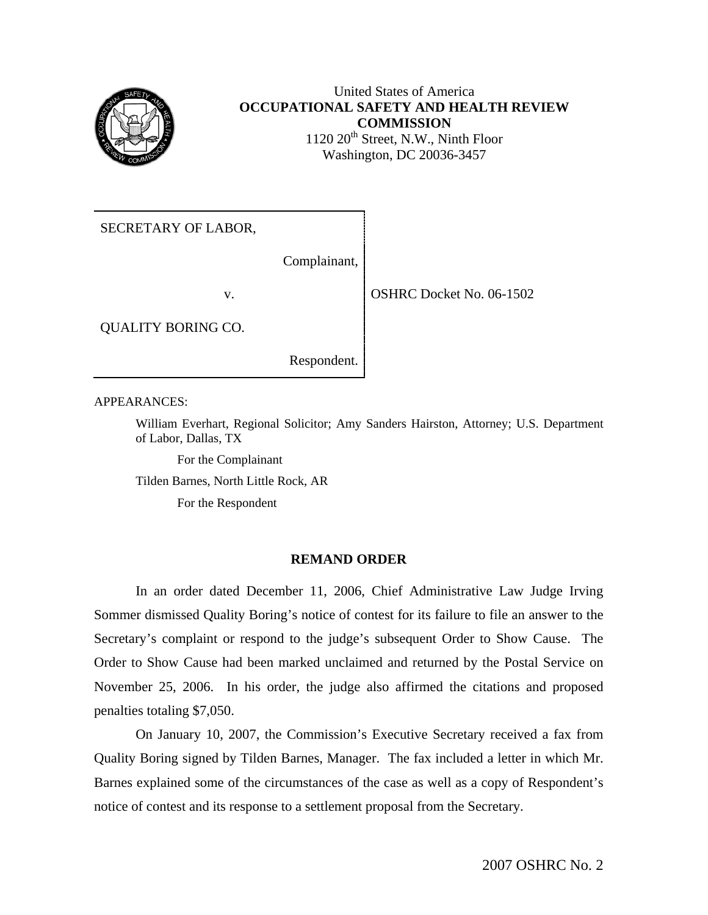

## United States of America **OCCUPATIONAL SAFETY AND HEALTH REVIEW COMMISSION**  $1120 20<sup>th</sup> Street, N.W., Ninth Floor$ Washington, DC 20036-3457

SECRETARY OF LABOR,

Complainant,

v. 06-1502

QUALITY BORING CO.

Respondent.

APPEARANCES:

William Everhart, Regional Solicitor; Amy Sanders Hairston, Attorney; U.S. Department of Labor, Dallas, TX

For the Complainant

Tilden Barnes, North Little Rock, AR

For the Respondent

## **REMAND ORDER**

In an order dated December 11, 2006, Chief Administrative Law Judge Irving Sommer dismissed Quality Boring's notice of contest for its failure to file an answer to the Secretary's complaint or respond to the judge's subsequent Order to Show Cause. The Order to Show Cause had been marked unclaimed and returned by the Postal Service on November 25, 2006. In his order, the judge also affirmed the citations and proposed penalties totaling \$7,050.

On January 10, 2007, the Commission's Executive Secretary received a fax from Quality Boring signed by Tilden Barnes, Manager. The fax included a letter in which Mr. Barnes explained some of the circumstances of the case as well as a copy of Respondent's notice of contest and its response to a settlement proposal from the Secretary.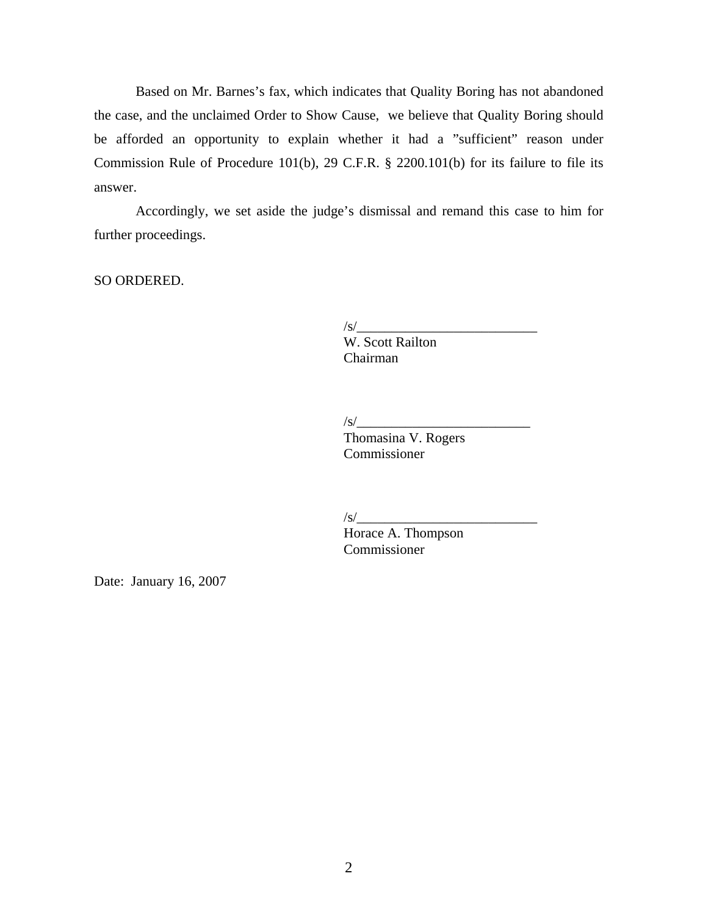<span id="page-1-0"></span>Based on Mr. Barnes's fax, which indicates that Quality Boring has not abandoned the case, and the unclaimed Order to Show Cause, we believe that Quality Boring should be afforded an opportunity to explain whether it had a "sufficient" reason under Commission Rule of Procedure 101(b), 29 C.F.R. § 2200.101(b) for its failure to file its answer.

Accordingly, we set aside the judge's dismissal and remand this case to him for further proceedings.

SO ORDERED.

 $\frac{1}{s}$ 

W. Scott Railton Chairman

/s/\_\_\_\_\_\_\_\_\_\_\_\_\_\_\_\_\_\_\_\_\_\_\_\_\_

Thomasina V. Rogers Commissioner

 $\sqrt{s}$ /

 Horace A. Thompson Commissioner

Date: January 16, 2007